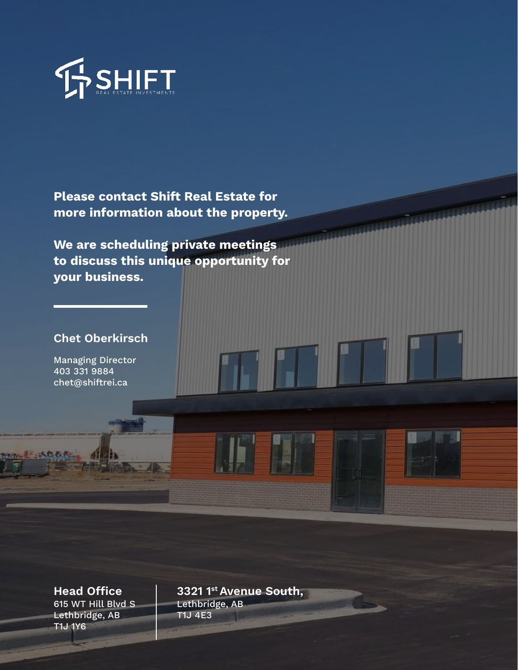

Please contact Shift Real Estate for more information about the property.

We are scheduling private meetings to discuss this unique opportunity for your business.

#### Chet Oberkirsch

Managing Director 403 331 9884 chet@shiftrei.ca

れまいたもだ

615 WT Hill Blvd S Lethbridge, AB T1J 1Y6

Head Office | 3321 1st Avenue South, Lethbridge, AB T1J 4E3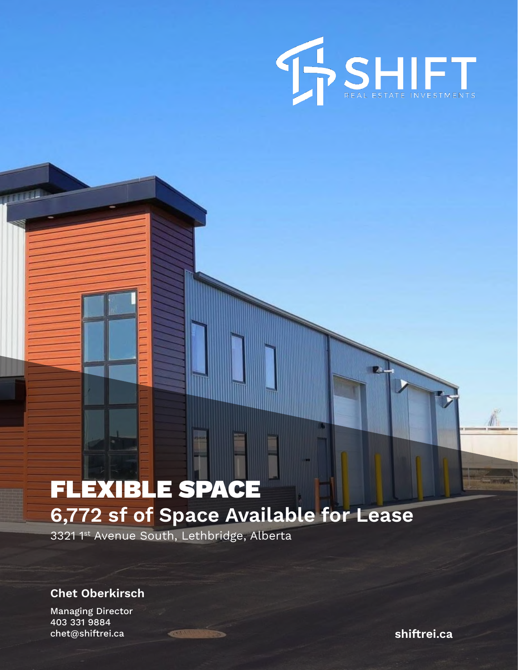

# FLEXIBLE SPACE 6,772 sf of Space Available for Lease

3321 <sup>1st</sup> Avenue South, Lethbridge, Alberta

Chet Oberkirsch

Managing Director 403 331 9884 chet@shiftrei.ca shiftrei.ca shiftrei.ca

**TITLES**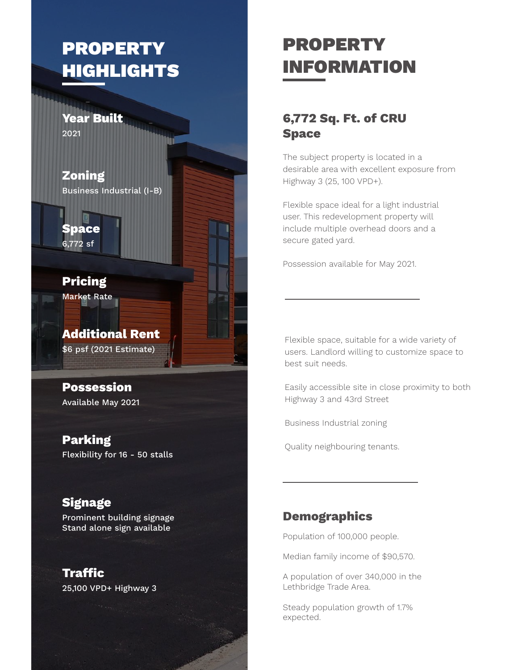## PROPERTY **HIGHLIGHTS**

Year Built 2021

Zoning Business Industrial (I-B)

Space 6,772 sf

Pricing Market Rate

Additional Rent \$6 psf (2021 Estimate)

Possession Available May 2021

Parking Flexibility for 16 - 50 stalls

#### **Signage**

Prominent building signage Stand alone sign available

25,100 VPD+ Highway 3 Traffic

# PROPERTY INFORMATION

#### 6,772 Sq. Ft. of CRU Space

The subject property is located in a desirable area with excellent exposure from Highway 3 (25, 100 VPD+).

Flexible space ideal for a light industrial user. This redevelopment property will include multiple overhead doors and a secure gated yard.

Possession available for May 2021.

Flexible space, suitable for a wide variety of users. Landlord willing to customize space to best suit needs.

Easily accessible site in close proximity to both Highway 3 and 43rd Street

Business Industrial zoning

Quality neighbouring tenants.

#### **Demographics**

Population of 100,000 people.

Median family income of \$90,570.

A population of over 340,000 in the Lethbridge Trade Area.

Steady population growth of 1.7% expected.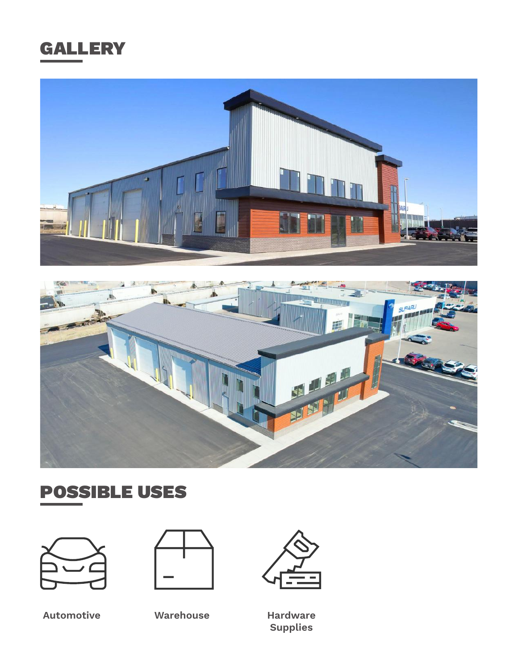





### POSSIBLE USES





Automotive Warehouse Hardware



Supplies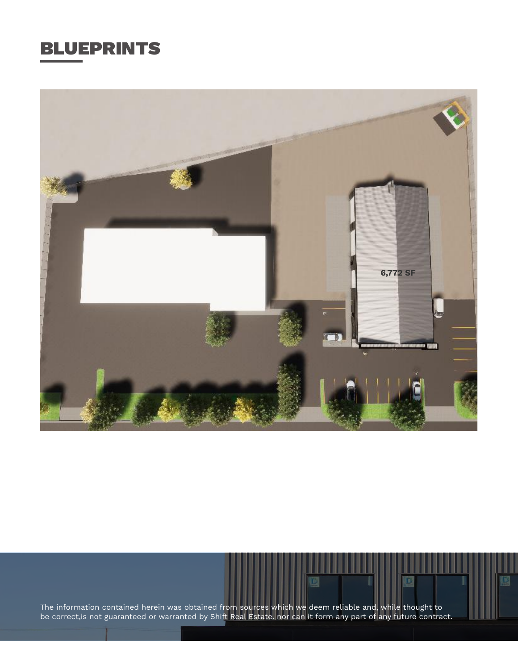### BLUEPRINTS



The information contained herein was obtained from sources which we deem reliable and, while thought to be correct,is not guaranteed or warranted by Shift Real Estate. nor can it form any part of any future contract.